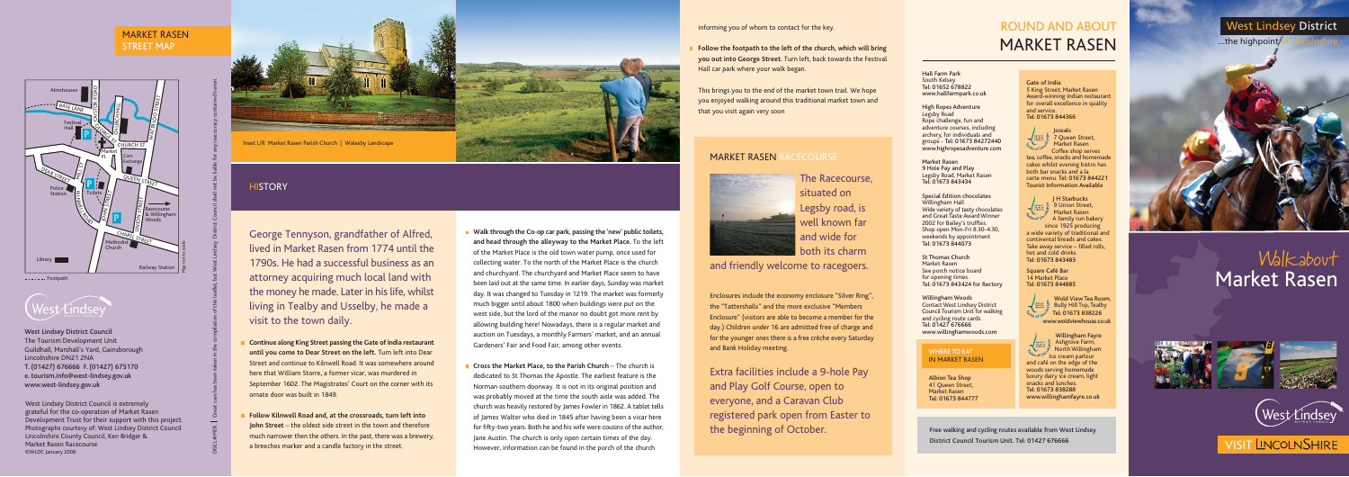Walkabout Market Rasen

## West Lindsey District

 $...$ the highpoint



# ROUND AND ABOUT MARKET RASEN

Hall Farm Park South Kelsey Tel: 01652 678822 www.hallfarmpark.co.uk

High Ropes Adventure Legsby Road Rope challenge, fun and adventure courses, including archery, for individuals and groups - Tel: 01673 84272440 www.highropesadventure.com

Market Rasen 9 Hole Pay and Play Legsby Road, Market Rasen Tel: 01673 843434

Special Edition chocolates Willingham Hall Wide variety of tasty chocolates and Great Taste Award Winner 2002 for Bailey's truffles. Shop open Mon-Fri 8.30-4.30, weekends by appointment Tel: 01673 844073

St Thomas Church Market Rasen See porch notice board for opening times. Tel: 01673 843424 for Rectory

Willingham Woods Contact West Lindsey District Council Tourism Unit for walking and cycling route cards. Tel: 01427 676666 www.willinghamwoods.com

West Lindsey District Council is extremely grateful for the co-operation of Market Rasen Development Trust for their support with this project. Photographs courtesy of: West Lindsey District Council Lincolnshire County Council, Ken Bridger & Market Rasen Racecourse. ©WLDC January 2008



## MARKET RASEN STREET MAP

**Cross the Market Place, to the Parish Church** – The church is dedicated to St Thomas the Apostle. The earliest feature is the Norman southern doorway. It is not in its original position and was probably moved at the time the south aisle was added. The church was heavily restored by James Fowler in 1862. A tablet tells of James Walter who died in 1845 after having been a vicar here for fifty-two years. Both he and his wife were cousins of the author, Jane Austin. The church is only open certain times of the day. However, information can be found in the porch of the church



**Walk through the Co-op car park, passing the 'new' public toilets, and head through the alleyway to the Market Place.** To the left of the Market Place is the old town water pump, once used for collecting water. To the north of the Market Place is the church and churchyard. The churchyard and Market Place seem to have been laid out at the same time. In earlier days, Sunday was market day. It was changed to Tuesday in 1219. The market was formerly much bigger until about 1800 when buildings were put on the west side, but the lord of the manor no doubt got more rent by allowing building here! Nowadays, there is a regular market and auction on Tuesdays, a monthly Farmers' market, and an annual Gardeners' Fair and Food Fair, among other events. DISCLAIMER Great care has been taken in the compilation of this leaflet, but West Lindsey District Council shall not be liable for any inaccuracy contained herein. George Tennyson, grandfather of Alfred, lived in Market Rasen from 1774 until the 1790s. He had a successful business as an attorney acquiring much local land with the money he made. Later in his life, whilst living in Tealby and Usselby, he made a visit to the town daily. **Continue along King Street passing the Gate of India restaurant until you come to Dear Street on the left.** Turn left into Dear Street and continue to Kilnwell Road. It was somewhere around here that William Storre, a former vicar, was murdered in September 1602. The Magistrates' Court on the corner with its ornate door was built in 1849. **Follow Kilnwell Road and, at the crossroads, turn left into John Street** – the oldest side street in the town and therefore much narrower then the others. In the past, there was a brewery, a breeches marker and a candle factory in the street. Free walking and cycling routes available from West Lindsey District Council Tourism Unit. Tel: 01427 676666 Market Pl. CHURCH ST.

Inset L/R Market Rasen Parish Church | Walesby Landscape

## **HISTORY**

- 
- 



■ 9 Union Street, Market Rasen A family run bakery since 1925 producing a wide variety of traditional and continental breads and cakes. Take away service – filled rolls, hot and cold drinks. Tel: 01673 843483

informing you of whom to contact for the key.

**Follow the footpath to the left of the church, which will bring you out into George Street.** Turn left, back towards the Festival Hall car park where your walk began.

This brings you to the end of the market town trail. We hope you enjoyed walking around this traditional market town and that you visit again very soon

## MARKET RASEN RACECOURSE

The Racecourse, situated on Legsby road, is well known far and wide for both its charm

and friendly welcome to racegoers.

Enclosures include the economy enclosure "Silver Ring", the "Tattershalls" and the more exclusive "Members Enclosure" (visitors are able to become a member for the day.) Children under 16 are admitted free of charge and for the younger ones there is a free crèche every Saturday and Bank Holiday meeting.





Extra facilities include a 9-hole Pay and Play Golf Course, open to everyone, and a Caravan Club registered park open from Easter to the beginning of October.

Gate of India 5 King Street, Market Rasen Award-winning Indian restaurant for overall excellence in quality and service. Tel: 01673 844366



Market Rasen Coffee shop serves tea, coffee, snacks and homemade cakes whilst evening bistro has both bar snacks and a la carte menu. Tel: 01673 844221

Tourist Information Available



Square Café Bar 14 Market Place Tel: 01673 844885



Willingham Fayre Ashgrove Farm, North Willingham Ice cream parlour and café on the edge of the

woods serving homemade luxury dairy ice cream, light

snacks and lunches. Tel: 01673 838288









# **VISIT LINCOLNSHIRE**

www.willinghamfayre.co.uk

## WHERE TO EAT IN MARKET RASEN

Albion Tea Shop 41 Queen Street, Market Rasen Tel: 01673 844777

West Lindsey District Council The Tourism Development Unit Guildhall, Marshall's Yard, Gainsborough Lincolnshire DN21 2NA T. (01427) 676666 F. (01427) 675170 e. tourism.info@west-lindsey.gov.uk www.west-lindsey.gov.uk